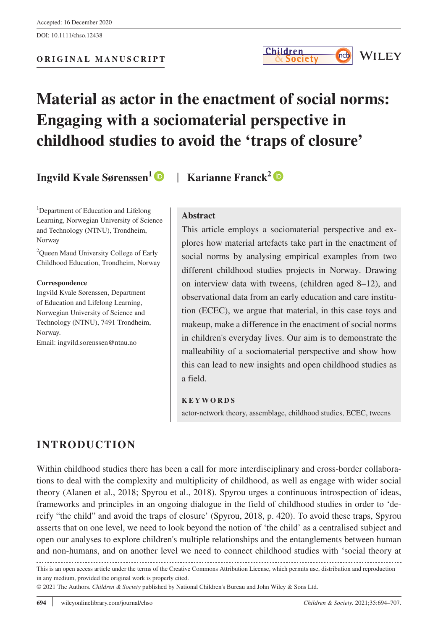# **Material as actor in the enactment of social norms: Engaging with a sociomaterial perspective in childhood studies to avoid the 'traps of closure'**

**Ingvild Kvale Sørenssen[1](https://orcid.org/0000-0001-8729-6761)** | **Karianne Franck[2](https://orcid.org/0000-0002-8053-375X)**

<sup>1</sup>Department of Education and Lifelong Learning, Norwegian University of Science and Technology (NTNU), Trondheim, Norway

<sup>2</sup>Queen Maud University College of Early Childhood Education, Trondheim, Norway

#### **Correspondence**

Ingvild Kvale Sørenssen, Department of Education and Lifelong Learning, Norwegian University of Science and Technology (NTNU), 7491 Trondheim, Norway.

Email: [ingvild.sorenssen@ntnu.no](mailto:ingvild.sorenssen@ntnu.no)

#### **Abstract**

This article employs a sociomaterial perspective and explores how material artefacts take part in the enactment of social norms by analysing empirical examples from two different childhood studies projects in Norway. Drawing on interview data with tweens, (children aged 8–12), and observational data from an early education and care institution (ECEC), we argue that material, in this case toys and makeup, make a difference in the enactment of social norms in children's everyday lives. Our aim is to demonstrate the malleability of a sociomaterial perspective and show how this can lead to new insights and open childhood studies as a field.

#### **KEYWORDS**

actor-network theory, assemblage, childhood studies, ECEC, tweens

# **INTRODUCTION**

Within childhood studies there has been a call for more interdisciplinary and cross-border collaborations to deal with the complexity and multiplicity of childhood, as well as engage with wider social theory (Alanen et al., 2018; Spyrou et al., 2018). Spyrou urges a continuous introspection of ideas, frameworks and principles in an ongoing dialogue in the field of childhood studies in order to 'dereify "the child" and avoid the traps of closure' (Spyrou, 2018, p. 420). To avoid these traps, Spyrou asserts that on one level, we need to look beyond the notion of 'the child' as a centralised subject and open our analyses to explore children's multiple relationships and the entanglements between human and non-humans, and on another level we need to connect childhood studies with 'social theory at

This is an open access article under the terms of the [Creative Commons Attribution](http://creativecommons.org/licenses/by/4.0/) License, which permits use, distribution and reproduction in any medium, provided the original work is properly cited.

© 2021 The Authors. *Children & Society* published by National Children's Bureau and John Wiley & Sons Ltd.

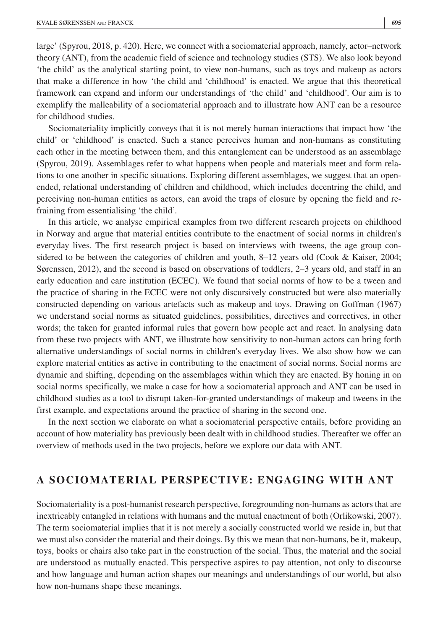large' (Spyrou, 2018, p. 420). Here, we connect with a sociomaterial approach, namely, actor–network theory (ANT), from the academic field of science and technology studies (STS). We also look beyond 'the child' as the analytical starting point, to view non-humans, such as toys and makeup as actors that make a difference in how 'the child and 'childhood' is enacted. We argue that this theoretical framework can expand and inform our understandings of 'the child' and 'childhood'. Our aim is to exemplify the malleability of a sociomaterial approach and to illustrate how ANT can be a resource for childhood studies.

Sociomateriality implicitly conveys that it is not merely human interactions that impact how 'the child' or 'childhood' is enacted. Such a stance perceives human and non-humans as constituting each other in the meeting between them, and this entanglement can be understood as an assemblage (Spyrou, 2019). Assemblages refer to what happens when people and materials meet and form relations to one another in specific situations. Exploring different assemblages, we suggest that an openended, relational understanding of children and childhood, which includes decentring the child, and perceiving non-human entities as actors, can avoid the traps of closure by opening the field and refraining from essentialising 'the child'.

In this article, we analyse empirical examples from two different research projects on childhood in Norway and argue that material entities contribute to the enactment of social norms in children's everyday lives. The first research project is based on interviews with tweens, the age group considered to be between the categories of children and youth, 8–12 years old (Cook & Kaiser, 2004; Sørenssen, 2012), and the second is based on observations of toddlers, 2–3 years old, and staff in an early education and care institution (ECEC). We found that social norms of how to be a tween and the practice of sharing in the ECEC were not only discursively constructed but were also materially constructed depending on various artefacts such as makeup and toys. Drawing on Goffman (1967) we understand social norms as situated guidelines, possibilities, directives and correctives, in other words; the taken for granted informal rules that govern how people act and react. In analysing data from these two projects with ANT, we illustrate how sensitivity to non-human actors can bring forth alternative understandings of social norms in children's everyday lives. We also show how we can explore material entities as active in contributing to the enactment of social norms. Social norms are dynamic and shifting, depending on the assemblages within which they are enacted. By honing in on social norms specifically, we make a case for how a sociomaterial approach and ANT can be used in childhood studies as a tool to disrupt taken-for-granted understandings of makeup and tweens in the first example, and expectations around the practice of sharing in the second one.

In the next section we elaborate on what a sociomaterial perspective entails, before providing an account of how materiality has previously been dealt with in childhood studies. Thereafter we offer an overview of methods used in the two projects, before we explore our data with ANT.

# **A SOCIOMATERIAL PERSPECTIVE: ENGAGING WITH ANT**

Sociomateriality is a post-humanist research perspective, foregrounding non-humans as actors that are inextricably entangled in relations with humans and the mutual enactment of both (Orlikowski, 2007). The term sociomaterial implies that it is not merely a socially constructed world we reside in, but that we must also consider the material and their doings. By this we mean that non-humans, be it, makeup, toys, books or chairs also take part in the construction of the social. Thus, the material and the social are understood as mutually enacted. This perspective aspires to pay attention, not only to discourse and how language and human action shapes our meanings and understandings of our world, but also how non-humans shape these meanings.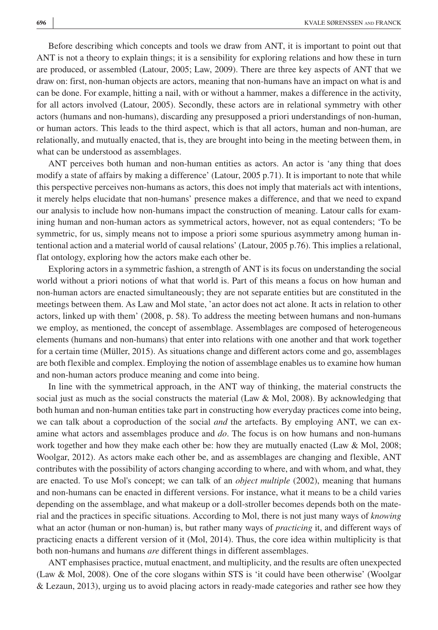Before describing which concepts and tools we draw from ANT, it is important to point out that ANT is not a theory to explain things; it is a sensibility for exploring relations and how these in turn are produced, or assembled (Latour, 2005; Law, 2009). There are three key aspects of ANT that we draw on: first, non-human objects are actors, meaning that non-humans have an impact on what is and can be done. For example, hitting a nail, with or without a hammer, makes a difference in the activity, for all actors involved (Latour, 2005). Secondly, these actors are in relational symmetry with other actors (humans and non-humans), discarding any presupposed a priori understandings of non-human, or human actors. This leads to the third aspect, which is that all actors, human and non-human, are relationally, and mutually enacted, that is, they are brought into being in the meeting between them, in what can be understood as assemblages.

ANT perceives both human and non-human entities as actors. An actor is 'any thing that does modify a state of affairs by making a difference' (Latour, 2005 p.71). It is important to note that while this perspective perceives non-humans as actors, this does not imply that materials act with intentions, it merely helps elucidate that non-humans' presence makes a difference, and that we need to expand our analysis to include how non-humans impact the construction of meaning. Latour calls for examining human and non-human actors as symmetrical actors, however, not as equal contenders; 'To be symmetric, for us, simply means not to impose a priori some spurious asymmetry among human intentional action and a material world of causal relations' (Latour, 2005 p.76). This implies a relational, flat ontology, exploring how the actors make each other be.

Exploring actors in a symmetric fashion, a strength of ANT is its focus on understanding the social world without a priori notions of what that world is. Part of this means a focus on how human and non-human actors are enacted simultaneously; they are not separate entities but are constituted in the meetings between them. As Law and Mol state, 'an actor does not act alone. It acts in relation to other actors, linked up with them' (2008, p. 58). To address the meeting between humans and non-humans we employ, as mentioned, the concept of assemblage. Assemblages are composed of heterogeneous elements (humans and non-humans) that enter into relations with one another and that work together for a certain time (Müller, 2015). As situations change and different actors come and go, assemblages are both flexible and complex. Employing the notion of assemblage enables us to examine how human and non-human actors produce meaning and come into being.

In line with the symmetrical approach, in the ANT way of thinking, the material constructs the social just as much as the social constructs the material (Law  $\&$  Mol, 2008). By acknowledging that both human and non-human entities take part in constructing how everyday practices come into being, we can talk about a coproduction of the social *and* the artefacts. By employing ANT, we can examine what actors and assemblages produce and *do*. The focus is on how humans and non-humans work together and how they make each other be: how they are mutually enacted (Law & Mol, 2008; Woolgar, 2012). As actors make each other be, and as assemblages are changing and flexible, ANT contributes with the possibility of actors changing according to where, and with whom, and what, they are enacted. To use Mol's concept; we can talk of an *object multiple* (2002), meaning that humans and non-humans can be enacted in different versions. For instance, what it means to be a child varies depending on the assemblage, and what makeup or a doll-stroller becomes depends both on the material and the practices in specific situations. According to Mol, there is not just many ways of *knowing* what an actor (human or non-human) is, but rather many ways of *practicing* it, and different ways of practicing enacts a different version of it (Mol, 2014). Thus, the core idea within multiplicity is that both non-humans and humans *are* different things in different assemblages.

ANT emphasises practice, mutual enactment, and multiplicity, and the results are often unexpected (Law & Mol, 2008). One of the core slogans within STS is 'it could have been otherwise' (Woolgar & Lezaun, 2013), urging us to avoid placing actors in ready-made categories and rather see how they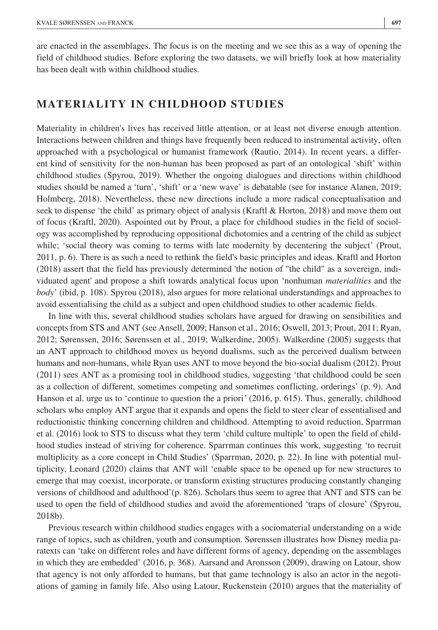are enacted in the assemblages. The focus is on the meeting and we see this as a way of opening the field of childhood studies. Before exploring the two datasets, we will briefly look at how materiality has been dealt with within childhood studies.

# **MATERIALITY IN CHILDHOOD STUDIES**

Materiality in children's lives has received little attention, or at least not diverse enough attention. Interactions between children and things have frequently been reduced to instrumental activity, often approached with a psychological or humanist framework (Rautio, 2014). In recent years, a different kind of sensitivity for the non-human has been proposed as part of an ontological 'shift' within childhood studies (Spyrou, 2019). Whether the ongoing dialogues and directions within childhood studies should be named a 'turn', 'shift' or a 'new wave' is debatable (see for instance Alanen, 2019; Holmberg, 2018). Nevertheless, these new directions include a more radical conceptualisation and seek to dispense 'the child' as primary object of analysis (Kraftl & Horton, 2018) and move them out of focus (Kraftl, 2020). Aspointed out by Prout, a place for childhood studies in the field of sociology was accomplished by reproducing oppositional dichotomies and a centring of the child as subject while; 'social theory was coming to terms with late modernity by decentering the subject' (Prout, 2011, p. 6). There is as such a need to rethink the field's basic principles and ideas. Kraftl and Horton (2018) assert that the field has previously determined 'the notion of "the child" as a sovereign, individuated agent' and propose a shift towards analytical focus upon 'nonhuman *materialities* and the *body*' (ibid, p. 108). Spyrou (2018), also argues for more relational understandings and approaches to avoid essentialising the child as a subject and open childhood studies to other academic fields.

In line with this, several childhood studies scholars have argued for drawing on sensibilities and concepts from STS and ANT (see Ansell, 2009; Hanson et al., 2016; Oswell, 2013; Prout, 2011; Ryan, 2012; Sørenssen, 2016; Sørenssen et al., 2019; Walkerdine, 2005). Walkerdine (2005) suggests that an ANT approach to childhood moves us beyond dualisms, such as the perceived dualism between humans and non-humans, while Ryan uses ANT to move beyond the bio-social dualism (2012). Prout (2011) sees ANT as a promising tool in childhood studies, suggesting 'that childhood could be seen as a collection of different, sometimes competing and sometimes conflicting, orderings' (p. 9). And Hanson et al. urge us to 'continue to question the a priori*'* (2016, p. 615). Thus, generally, childhood scholars who employ ANT argue that it expands and opens the field to steer clear of essentialised and reductionistic thinking concerning children and childhood. Attempting to avoid reduction, Sparrman et al. (2016) look to STS to discuss what they term 'child culture multiple' to open the field of childhood studies instead of striving for coherence. Sparrman continues this work, suggesting 'to recruit multiplicity as a core concept in Child Studies' (Sparrman, 2020, p. 22). In line with potential multiplicity, Leonard (2020) claims that ANT will 'enable space to be opened up for new structures to emerge that may coexist, incorporate, or transform existing structures producing constantly changing versions of childhood and adulthood'(p. 826). Scholars thus seem to agree that ANT and STS can be used to open the field of childhood studies and avoid the aforementioned 'traps of closure' (Spyrou, 2018b).

Previous research within childhood studies engages with a sociomaterial understanding on a wide range of topics, such as children, youth and consumption. Sørenssen illustrates how Disney media paratexts can 'take on different roles and have different forms of agency, depending on the assemblages in which they are embedded' (2016, p. 368). Aarsand and Aronsson (2009), drawing on Latour, show that agency is not only afforded to humans, but that game technology is also an actor in the negotiations of gaming in family life. Also using Latour, Ruckenstein (2010) argues that the materiality of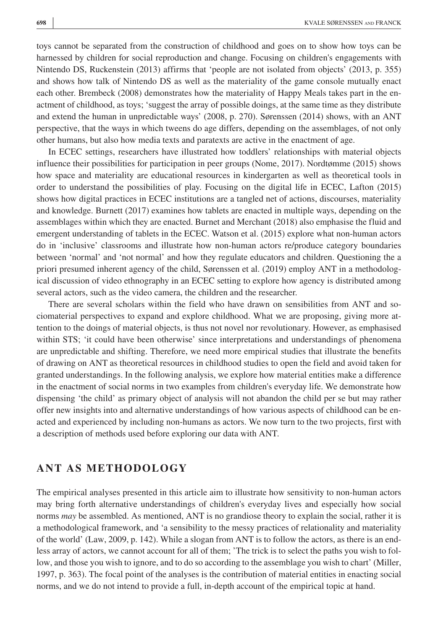toys cannot be separated from the construction of childhood and goes on to show how toys can be harnessed by children for social reproduction and change. Focusing on children's engagements with Nintendo DS, Ruckenstein (2013) affirms that 'people are not isolated from objects' (2013, p. 355) and shows how talk of Nintendo DS as well as the materiality of the game console mutually enact each other. Brembeck (2008) demonstrates how the materiality of Happy Meals takes part in the enactment of childhood, as toys; 'suggest the array of possible doings, at the same time as they distribute and extend the human in unpredictable ways' (2008, p. 270). Sørenssen (2014) shows, with an ANT perspective, that the ways in which tweens do age differs, depending on the assemblages, of not only other humans, but also how media texts and paratexts are active in the enactment of age.

In ECEC settings, researchers have illustrated how toddlers' relationships with material objects influence their possibilities for participation in peer groups (Nome, 2017). Nordtømme (2015) shows how space and materiality are educational resources in kindergarten as well as theoretical tools in order to understand the possibilities of play. Focusing on the digital life in ECEC, Lafton (2015) shows how digital practices in ECEC institutions are a tangled net of actions, discourses, materiality and knowledge. Burnett (2017) examines how tablets are enacted in multiple ways, depending on the assemblages within which they are enacted. Burnet and Merchant (2018) also emphasise the fluid and emergent understanding of tablets in the ECEC. Watson et al. (2015) explore what non-human actors do in 'inclusive' classrooms and illustrate how non-human actors re/produce category boundaries between 'normal' and 'not normal' and how they regulate educators and children. Questioning the a priori presumed inherent agency of the child, Sørenssen et al. (2019) employ ANT in a methodological discussion of video ethnography in an ECEC setting to explore how agency is distributed among several actors, such as the video camera, the children and the researcher.

There are several scholars within the field who have drawn on sensibilities from ANT and sociomaterial perspectives to expand and explore childhood. What we are proposing, giving more attention to the doings of material objects, is thus not novel nor revolutionary. However, as emphasised within STS; 'it could have been otherwise' since interpretations and understandings of phenomena are unpredictable and shifting. Therefore, we need more empirical studies that illustrate the benefits of drawing on ANT as theoretical resources in childhood studies to open the field and avoid taken for granted understandings. In the following analysis, we explore how material entities make a difference in the enactment of social norms in two examples from children's everyday life. We demonstrate how dispensing 'the child' as primary object of analysis will not abandon the child per se but may rather offer new insights into and alternative understandings of how various aspects of childhood can be enacted and experienced by including non-humans as actors. We now turn to the two projects, first with a description of methods used before exploring our data with ANT.

# **ANT AS METHODOLOGY**

The empirical analyses presented in this article aim to illustrate how sensitivity to non-human actors may bring forth alternative understandings of children's everyday lives and especially how social norms *may* be assembled. As mentioned, ANT is no grandiose theory to explain the social, rather it is a methodological framework, and 'a sensibility to the messy practices of relationality and materiality of the world' (Law, 2009, p. 142). While a slogan from ANT is to follow the actors, as there is an endless array of actors, we cannot account for all of them; 'The trick is to select the paths you wish to follow, and those you wish to ignore, and to do so according to the assemblage you wish to chart' (Miller, 1997, p. 363). The focal point of the analyses is the contribution of material entities in enacting social norms, and we do not intend to provide a full, in-depth account of the empirical topic at hand.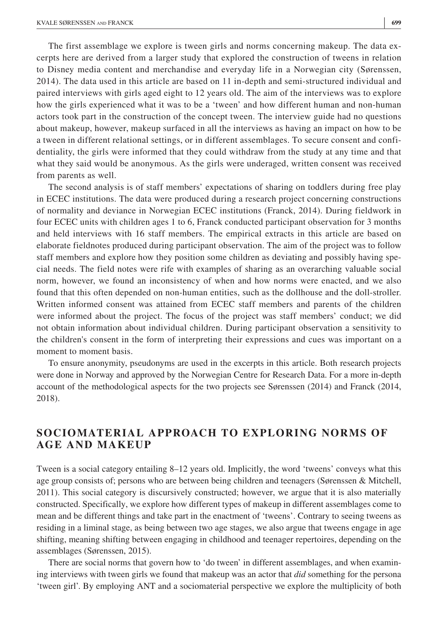The first assemblage we explore is tween girls and norms concerning makeup. The data excerpts here are derived from a larger study that explored the construction of tweens in relation to Disney media content and merchandise and everyday life in a Norwegian city (Sørenssen, 2014). The data used in this article are based on 11 in-depth and semi-structured individual and paired interviews with girls aged eight to 12 years old. The aim of the interviews was to explore how the girls experienced what it was to be a 'tween' and how different human and non-human actors took part in the construction of the concept tween. The interview guide had no questions about makeup, however, makeup surfaced in all the interviews as having an impact on how to be a tween in different relational settings, or in different assemblages. To secure consent and confidentiality, the girls were informed that they could withdraw from the study at any time and that what they said would be anonymous. As the girls were underaged, written consent was received from parents as well.

The second analysis is of staff members' expectations of sharing on toddlers during free play in ECEC institutions. The data were produced during a research project concerning constructions of normality and deviance in Norwegian ECEC institutions (Franck, 2014). During fieldwork in four ECEC units with children ages 1 to 6, Franck conducted participant observation for 3 months and held interviews with 16 staff members. The empirical extracts in this article are based on elaborate fieldnotes produced during participant observation. The aim of the project was to follow staff members and explore how they position some children as deviating and possibly having special needs. The field notes were rife with examples of sharing as an overarching valuable social norm, however, we found an inconsistency of when and how norms were enacted, and we also found that this often depended on non-human entities, such as the dollhouse and the doll-stroller. Written informed consent was attained from ECEC staff members and parents of the children were informed about the project. The focus of the project was staff members' conduct; we did not obtain information about individual children. During participant observation a sensitivity to the children's consent in the form of interpreting their expressions and cues was important on a moment to moment basis.

To ensure anonymity, pseudonyms are used in the excerpts in this article. Both research projects were done in Norway and approved by the Norwegian Centre for Research Data. For a more in-depth account of the methodological aspects for the two projects see Sørenssen (2014) and Franck (2014, 2018).

# **SOCIOMATERIAL APPROACH TO EXPLORING NORMS OF AGE AND MAKEUP**

Tween is a social category entailing 8–12 years old. Implicitly, the word 'tweens' conveys what this age group consists of; persons who are between being children and teenagers (Sørenssen & Mitchell, 2011). This social category is discursively constructed; however, we argue that it is also materially constructed. Specifically, we explore how different types of makeup in different assemblages come to mean and be different things and take part in the enactment of 'tweens'. Contrary to seeing tweens as residing in a liminal stage, as being between two age stages, we also argue that tweens engage in age shifting, meaning shifting between engaging in childhood and teenager repertoires, depending on the assemblages (Sørenssen, 2015).

There are social norms that govern how to 'do tween' in different assemblages, and when examining interviews with tween girls we found that makeup was an actor that *did* something for the persona 'tween girl'. By employing ANT and a sociomaterial perspective we explore the multiplicity of both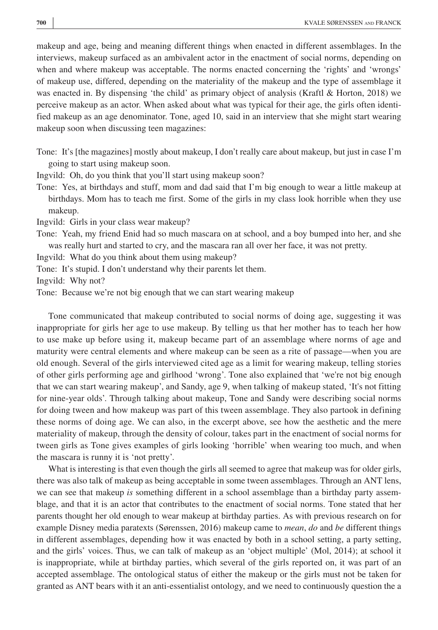makeup and age, being and meaning different things when enacted in different assemblages. In the interviews, makeup surfaced as an ambivalent actor in the enactment of social norms, depending on when and where makeup was acceptable. The norms enacted concerning the 'rights' and 'wrongs' of makeup use, differed, depending on the materiality of the makeup and the type of assemblage it was enacted in. By dispensing 'the child' as primary object of analysis (Kraftl & Horton, 2018) we perceive makeup as an actor. When asked about what was typical for their age, the girls often identified makeup as an age denominator. Tone, aged 10, said in an interview that she might start wearing makeup soon when discussing teen magazines:

Tone: It's [the magazines] mostly about makeup, I don't really care about makeup, but just in case I'm going to start using makeup soon.

Ingvild: Oh, do you think that you'll start using makeup soon?

Tone: Yes, at birthdays and stuff, mom and dad said that I'm big enough to wear a little makeup at birthdays. Mom has to teach me first. Some of the girls in my class look horrible when they use makeup.

Ingvild: Girls in your class wear makeup?

Tone: Yeah, my friend Enid had so much mascara on at school, and a boy bumped into her, and she was really hurt and started to cry, and the mascara ran all over her face, it was not pretty.

Ingvild: What do you think about them using makeup?

Tone: It's stupid. I don't understand why their parents let them.

Ingvild: Why not?

Tone: Because we're not big enough that we can start wearing makeup

Tone communicated that makeup contributed to social norms of doing age, suggesting it was inappropriate for girls her age to use makeup. By telling us that her mother has to teach her how to use make up before using it, makeup became part of an assemblage where norms of age and maturity were central elements and where makeup can be seen as a rite of passage—when you are old enough. Several of the girls interviewed cited age as a limit for wearing makeup, telling stories of other girls performing age and girlhood 'wrong'. Tone also explained that 'we're not big enough that we can start wearing makeup', and Sandy, age 9, when talking of makeup stated, 'It's not fitting for nine-year olds'. Through talking about makeup, Tone and Sandy were describing social norms for doing tween and how makeup was part of this tween assemblage. They also partook in defining these norms of doing age. We can also, in the excerpt above, see how the aesthetic and the mere materiality of makeup, through the density of colour, takes part in the enactment of social norms for tween girls as Tone gives examples of girls looking 'horrible' when wearing too much, and when the mascara is runny it is 'not pretty'.

What is interesting is that even though the girls all seemed to agree that makeup was for older girls, there was also talk of makeup as being acceptable in some tween assemblages. Through an ANT lens, we can see that makeup *is* something different in a school assemblage than a birthday party assemblage, and that it is an actor that contributes to the enactment of social norms. Tone stated that her parents thought her old enough to wear makeup at birthday parties. As with previous research on for example Disney media paratexts (Sørenssen, 2016) makeup came to *mean*, *do* and *be* different things in different assemblages, depending how it was enacted by both in a school setting, a party setting, and the girls' voices. Thus, we can talk of makeup as an 'object multiple' (Mol, 2014); at school it is inappropriate, while at birthday parties, which several of the girls reported on, it was part of an accepted assemblage. The ontological status of either the makeup or the girls must not be taken for granted as ANT bears with it an anti-essentialist ontology, and we need to continuously question the a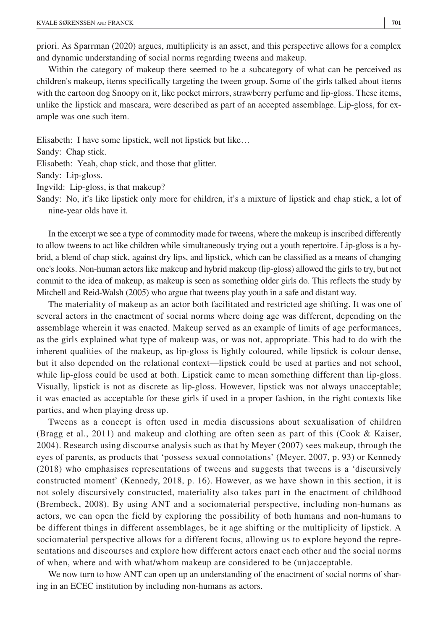priori. As Sparrman (2020) argues, multiplicity is an asset, and this perspective allows for a complex and dynamic understanding of social norms regarding tweens and makeup.

Within the category of makeup there seemed to be a subcategory of what can be perceived as children's makeup, items specifically targeting the tween group. Some of the girls talked about items with the cartoon dog Snoopy on it, like pocket mirrors, strawberry perfume and lip-gloss. These items, unlike the lipstick and mascara, were described as part of an accepted assemblage. Lip-gloss, for example was one such item.

Elisabeth: I have some lipstick, well not lipstick but like… Sandy: Chap stick. Elisabeth: Yeah, chap stick, and those that glitter. Sandy: Lip-gloss. Ingvild: Lip-gloss, is that makeup?

Sandy: No, it's like lipstick only more for children, it's a mixture of lipstick and chap stick, a lot of nine-year olds have it.

In the excerpt we see a type of commodity made for tweens, where the makeup is inscribed differently to allow tweens to act like children while simultaneously trying out a youth repertoire. Lip-gloss is a hybrid, a blend of chap stick, against dry lips, and lipstick, which can be classified as a means of changing one's looks. Non-human actors like makeup and hybrid makeup (lip-gloss) allowed the girls to try, but not commit to the idea of makeup, as makeup is seen as something older girls do. This reflects the study by Mitchell and Reid-Walsh (2005) who argue that tweens play youth in a safe and distant way.

The materiality of makeup as an actor both facilitated and restricted age shifting. It was one of several actors in the enactment of social norms where doing age was different, depending on the assemblage wherein it was enacted. Makeup served as an example of limits of age performances, as the girls explained what type of makeup was, or was not, appropriate. This had to do with the inherent qualities of the makeup, as lip-gloss is lightly coloured, while lipstick is colour dense, but it also depended on the relational context—lipstick could be used at parties and not school, while lip-gloss could be used at both. Lipstick came to mean something different than lip-gloss. Visually, lipstick is not as discrete as lip-gloss. However, lipstick was not always unacceptable; it was enacted as acceptable for these girls if used in a proper fashion, in the right contexts like parties, and when playing dress up.

Tweens as a concept is often used in media discussions about sexualisation of children (Bragg et al., 2011) and makeup and clothing are often seen as part of this (Cook & Kaiser, 2004). Research using discourse analysis such as that by Meyer (2007) sees makeup, through the eyes of parents, as products that 'possess sexual connotations' (Meyer, 2007, p. 93) or Kennedy (2018) who emphasises representations of tweens and suggests that tweens is a 'discursively constructed moment' (Kennedy, 2018, p. 16). However, as we have shown in this section, it is not solely discursively constructed, materiality also takes part in the enactment of childhood (Brembeck, 2008). By using ANT and a sociomaterial perspective, including non-humans as actors, we can open the field by exploring the possibility of both humans and non-humans to be different things in different assemblages, be it age shifting or the multiplicity of lipstick. A sociomaterial perspective allows for a different focus, allowing us to explore beyond the representations and discourses and explore how different actors enact each other and the social norms of when, where and with what/whom makeup are considered to be (un)acceptable.

We now turn to how ANT can open up an understanding of the enactment of social norms of sharing in an ECEC institution by including non-humans as actors.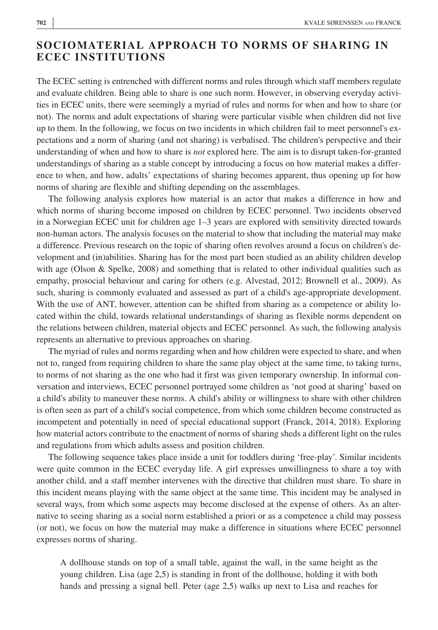# **SOCIOMATERIAL APPROACH TO NORMS OF SHARING IN ECEC INSTITUTIONS**

The ECEC setting is entrenched with different norms and rules through which staff members regulate and evaluate children. Being able to share is one such norm. However, in observing everyday activities in ECEC units, there were seemingly a myriad of rules and norms for when and how to share (or not). The norms and adult expectations of sharing were particular visible when children did not live up to them. In the following, we focus on two incidents in which children fail to meet personnel's expectations and a norm of sharing (and not sharing) is verbalised. The children's perspective and their understanding of when and how to share is *not* explored here. The aim is to disrupt taken-for-granted understandings of sharing as a stable concept by introducing a focus on how material makes a difference to when, and how, adults' expectations of sharing becomes apparent, thus opening up for how norms of sharing are flexible and shifting depending on the assemblages.

The following analysis explores how material is an actor that makes a difference in how and which norms of sharing become imposed on children by ECEC personnel. Two incidents observed in a Norwegian ECEC unit for children age 1–3 years are explored with sensitivity directed towards non-human actors. The analysis focuses on the material to show that including the material may make a difference. Previous research on the topic of sharing often revolves around a focus on children's development and (in)abilities. Sharing has for the most part been studied as an ability children develop with age (Olson & Spelke, 2008) and something that is related to other individual qualities such as empathy, prosocial behaviour and caring for others (e.g. Alvestad, 2012; Brownell et al., 2009). As such, sharing is commonly evaluated and assessed as part of a child's age-appropriate development. With the use of ANT, however, attention can be shifted from sharing as a competence or ability located within the child, towards relational understandings of sharing as flexible norms dependent on the relations between children, material objects and ECEC personnel. As such, the following analysis represents an alternative to previous approaches on sharing.

The myriad of rules and norms regarding when and how children were expected to share, and when not to, ranged from requiring children to share the same play object at the same time, to taking turns, to norms of not sharing as the one who had it first was given temporary ownership. In informal conversation and interviews, ECEC personnel portrayed some children as 'not good at sharing' based on a child's ability to maneuver these norms. A child's ability or willingness to share with other children is often seen as part of a child's social competence, from which some children become constructed as incompetent and potentially in need of special educational support (Franck, 2014, 2018). Exploring how material actors contribute to the enactment of norms of sharing sheds a different light on the rules and regulations from which adults assess and position children.

The following sequence takes place inside a unit for toddlers during 'free-play'. Similar incidents were quite common in the ECEC everyday life. A girl expresses unwillingness to share a toy with another child, and a staff member intervenes with the directive that children must share. To share in this incident means playing with the same object at the same time. This incident may be analysed in several ways, from which some aspects may become disclosed at the expense of others. As an alternative to seeing sharing as a social norm established a priori or as a competence a child may possess (or not), we focus on how the material may make a difference in situations where ECEC personnel expresses norms of sharing.

A dollhouse stands on top of a small table, against the wall, in the same height as the young children. Lisa (age 2,5) is standing in front of the dollhouse, holding it with both hands and pressing a signal bell. Peter (age 2,5) walks up next to Lisa and reaches for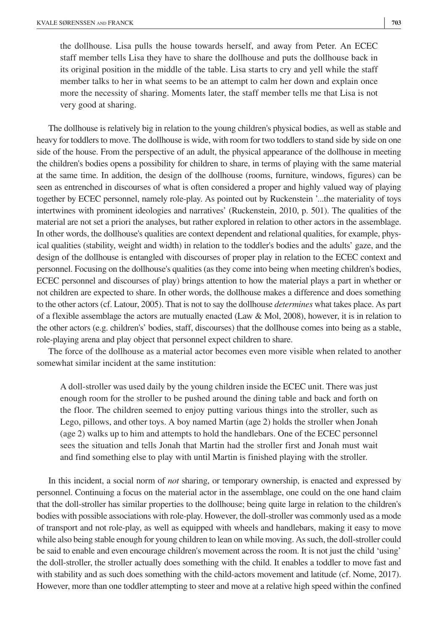the dollhouse. Lisa pulls the house towards herself, and away from Peter. An ECEC staff member tells Lisa they have to share the dollhouse and puts the dollhouse back in its original position in the middle of the table. Lisa starts to cry and yell while the staff member talks to her in what seems to be an attempt to calm her down and explain once more the necessity of sharing. Moments later, the staff member tells me that Lisa is not very good at sharing.

The dollhouse is relatively big in relation to the young children's physical bodies, as well as stable and heavy for toddlers to move. The dollhouse is wide, with room for two toddlers to stand side by side on one side of the house. From the perspective of an adult, the physical appearance of the dollhouse in meeting the children's bodies opens a possibility for children to share, in terms of playing with the same material at the same time. In addition, the design of the dollhouse (rooms, furniture, windows, figures) can be seen as entrenched in discourses of what is often considered a proper and highly valued way of playing together by ECEC personnel, namely role-play. As pointed out by Ruckenstein '...the materiality of toys intertwines with prominent ideologies and narratives' (Ruckenstein, 2010, p. 501). The qualities of the material are not set a priori the analyses, but rather explored in relation to other actors in the assemblage. In other words, the dollhouse's qualities are context dependent and relational qualities, for example, physical qualities (stability, weight and width) in relation to the toddler's bodies and the adults' gaze, and the design of the dollhouse is entangled with discourses of proper play in relation to the ECEC context and personnel. Focusing on the dollhouse's qualities (as they come into being when meeting children's bodies, ECEC personnel and discourses of play) brings attention to how the material plays a part in whether or not children are expected to share. In other words, the dollhouse makes a difference and does something to the other actors (cf. Latour, 2005). That is not to say the dollhouse *determines* what takes place. As part of a flexible assemblage the actors are mutually enacted (Law  $&$  Mol, 2008), however, it is in relation to the other actors (e.g. children's' bodies, staff, discourses) that the dollhouse comes into being as a stable, role-playing arena and play object that personnel expect children to share.

The force of the dollhouse as a material actor becomes even more visible when related to another somewhat similar incident at the same institution:

A doll-stroller was used daily by the young children inside the ECEC unit. There was just enough room for the stroller to be pushed around the dining table and back and forth on the floor. The children seemed to enjoy putting various things into the stroller, such as Lego, pillows, and other toys. A boy named Martin (age 2) holds the stroller when Jonah (age 2) walks up to him and attempts to hold the handlebars. One of the ECEC personnel sees the situation and tells Jonah that Martin had the stroller first and Jonah must wait and find something else to play with until Martin is finished playing with the stroller.

In this incident, a social norm of *not* sharing, or temporary ownership, is enacted and expressed by personnel. Continuing a focus on the material actor in the assemblage, one could on the one hand claim that the doll-stroller has similar properties to the dollhouse; being quite large in relation to the children's bodies with possible associations with role-play. However, the doll-stroller was commonly used as a mode of transport and not role-play, as well as equipped with wheels and handlebars, making it easy to move while also being stable enough for young children to lean on while moving. As such, the doll-stroller could be said to enable and even encourage children's movement across the room. It is not just the child 'using' the doll-stroller, the stroller actually does something with the child. It enables a toddler to move fast and with stability and as such does something with the child-actors movement and latitude (cf. Nome, 2017). However, more than one toddler attempting to steer and move at a relative high speed within the confined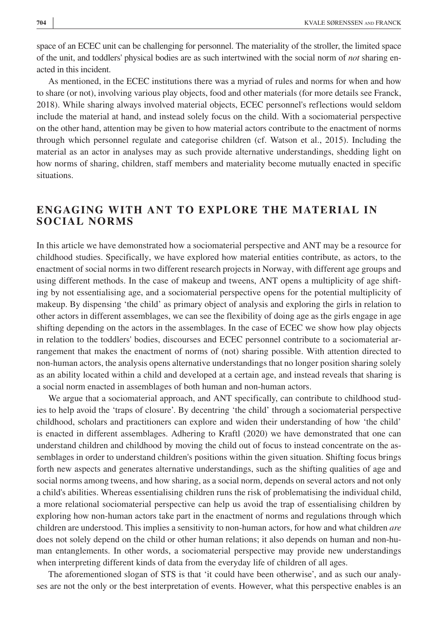space of an ECEC unit can be challenging for personnel. The materiality of the stroller, the limited space of the unit, and toddlers' physical bodies are as such intertwined with the social norm of *not* sharing enacted in this incident.

As mentioned, in the ECEC institutions there was a myriad of rules and norms for when and how to share (or not), involving various play objects, food and other materials (for more details see Franck, 2018). While sharing always involved material objects, ECEC personnel's reflections would seldom include the material at hand, and instead solely focus on the child. With a sociomaterial perspective on the other hand, attention may be given to how material actors contribute to the enactment of norms through which personnel regulate and categorise children (cf. Watson et al., 2015). Including the material as an actor in analyses may as such provide alternative understandings, shedding light on how norms of sharing, children, staff members and materiality become mutually enacted in specific situations.

# **ENGAGING WITH ANT TO EXPLORE THE MATERIAL IN SOCIAL NORMS**

In this article we have demonstrated how a sociomaterial perspective and ANT may be a resource for childhood studies. Specifically, we have explored how material entities contribute, as actors, to the enactment of social norms in two different research projects in Norway, with different age groups and using different methods. In the case of makeup and tweens, ANT opens a multiplicity of age shifting by not essentialising age, and a sociomaterial perspective opens for the potential multiplicity of makeup. By dispensing 'the child' as primary object of analysis and exploring the girls in relation to other actors in different assemblages, we can see the flexibility of doing age as the girls engage in age shifting depending on the actors in the assemblages. In the case of ECEC we show how play objects in relation to the toddlers' bodies, discourses and ECEC personnel contribute to a sociomaterial arrangement that makes the enactment of norms of (not) sharing possible. With attention directed to non-human actors, the analysis opens alternative understandings that no longer position sharing solely as an ability located within a child and developed at a certain age, and instead reveals that sharing is a social norm enacted in assemblages of both human and non-human actors.

We argue that a sociomaterial approach, and ANT specifically, can contribute to childhood studies to help avoid the 'traps of closure'. By decentring 'the child' through a sociomaterial perspective childhood, scholars and practitioners can explore and widen their understanding of how 'the child' is enacted in different assemblages. Adhering to Kraftl (2020) we have demonstrated that one can understand children and childhood by moving the child out of focus to instead concentrate on the assemblages in order to understand children's positions within the given situation. Shifting focus brings forth new aspects and generates alternative understandings, such as the shifting qualities of age and social norms among tweens, and how sharing, as a social norm, depends on several actors and not only a child's abilities. Whereas essentialising children runs the risk of problematising the individual child, a more relational sociomaterial perspective can help us avoid the trap of essentialising children by exploring how non-human actors take part in the enactment of norms and regulations through which children are understood. This implies a sensitivity to non-human actors, for how and what children *are* does not solely depend on the child or other human relations; it also depends on human and non-human entanglements. In other words, a sociomaterial perspective may provide new understandings when interpreting different kinds of data from the everyday life of children of all ages.

The aforementioned slogan of STS is that 'it could have been otherwise', and as such our analyses are not the only or the best interpretation of events. However, what this perspective enables is an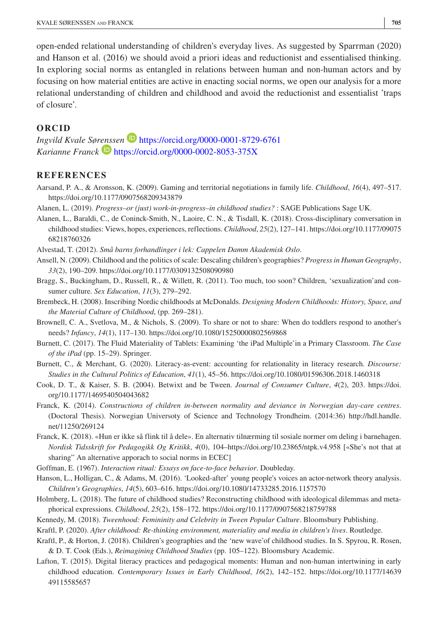open-ended relational understanding of children's everyday lives. As suggested by Sparrman (2020) and Hanson et al. (2016) we should avoid a priori ideas and reductionist and essentialised thinking. In exploring social norms as entangled in relations between human and non-human actors and by focusing on how material entities are active in enacting social norms, we open our analysis for a more relational understanding of children and childhood and avoid the reductionist and essentialist 'traps of closure'.

#### **ORCID**

*Ingvild Kvale Sø[renss](https://orcid.org/0000-0002-8053-375X)en* <https://orcid.org/0000-0001-8729-6761> *Karianne Franck* **<https://orcid.org/0000-0002-8053-375X>** 

#### **REFERENCES**

- Aarsand, P. A., & Aronsson, K. (2009). Gaming and territorial negotiations in family life. *Childhood*, *16*(4), 497–517. <https://doi.org/10.1177/0907568209343879>
- Alanen, L. (2019). *Progress–or (just) work-in-progress–in childhood studies?* : SAGE Publications Sage UK.
- Alanen, L., Baraldi, C., de Coninck-Smith, N., Laoire, C. N., & Tisdall, K. (2018). Cross-disciplinary conversation in childhood studies: Views, hopes, experiences, reflections. *Childhood*, *25*(2), 127–141. [https://doi.org/10.1177/09075](https://doi.org/10.1177/0907568218760326) [68218760326](https://doi.org/10.1177/0907568218760326)
- Alvestad, T. (2012). *Små barns forhandlinger i lek: Cappelen Damm Akademisk Oslo*.
- Ansell, N. (2009). Childhood and the politics of scale: Descaling children's geographies? *Progress in Human Geography*, *33*(2), 190–209.<https://doi.org/10.1177/0309132508090980>
- Bragg, S., Buckingham, D., Russell, R., & Willett, R. (2011). Too much, too soon? Children, 'sexualization'and consumer culture. *Sex Education*, *11*(3), 279–292.
- Brembeck, H. (2008). Inscribing Nordic childhoods at McDonalds. *Designing Modern Childhoods: History, Space, and the Material Culture of Childhood*, (pp. 269–281).
- Brownell, C. A., Svetlova, M., & Nichols, S. (2009). To share or not to share: When do toddlers respond to another's needs? *Infancy*, *14*(1), 117–130.<https://doi.org/10.1080/15250000802569868>
- Burnett, C. (2017). The Fluid Materiality of Tablets: Examining 'the iPad Multiple'in a Primary Classroom. *The Case of the iPad* (pp. 15–29). Springer.
- Burnett, C., & Merchant, G. (2020). Literacy-as-event: accounting for relationality in literacy research. *Discourse: Studies in the Cultural Politics of Education*, *41*(1), 45–56. <https://doi.org/10.1080/01596306.2018.1460318>
- Cook, D. T., & Kaiser, S. B. (2004). Betwixt and be Tween. *Journal of Consumer Culture*, *4*(2), 203. [https://doi.](https://doi.org/10.1177/1469540504043682) [org/10.1177/1469540504043682](https://doi.org/10.1177/1469540504043682)
- Franck, K. (2014). *Constructions of children in-between normality and deviance in Norwegian day-care centres*. (Doctoral Thesis). Norwegian Universoty of Science and Technology Trondheim. (2014:36) [http://hdl.handle.](http://hdl.handle.net/11250/269124) [net/11250/269124](http://hdl.handle.net/11250/269124)
- Franck, K. (2018). «Hun er ikke så flink til å dele». En alternativ tilnærming til sosiale normer om deling i barnehagen. *Nordisk Tidsskrift for Pedagogikk Og Kritikk*, *4*(0), 104[–https://doi.org/10.23865/ntpk.v4.958](https://doi.org/10.23865/ntpk.v4.958) [«She's not that at sharing" An alternative apporach to social norms in ECEC]
- Goffman, E. (1967). *Interaction ritual: Essays on face-to-face behavior*. Doubleday.
- Hanson, L., Holligan, C., & Adams, M. (2016). 'Looked-after' young people's voices an actor-network theory analysis. *Children's Geographies*, *14*(5), 603–616.<https://doi.org/10.1080/14733285.2016.1157570>
- Holmberg, L. (2018). The future of childhood studies? Reconstructing childhood with ideological dilemmas and metaphorical expressions. *Childhood*, *25*(2), 158–172.<https://doi.org/10.1177/0907568218759788>
- Kennedy, M. (2018). *Tweenhood: Femininity and Celebrity in Tween Popular Culture*. Bloomsbury Publishing.
- Kraftl, P. (2020). *After childhood: Re-thinking environment, materiality and media in children's lives*. Routledge.
- Kraftl, P., & Horton, J. (2018). Children's geographies and the 'new wave'of childhood studies. In S. Spyrou, R. Rosen, & D. T. Cook (Eds.), *Reimagining Childhood Studies* (pp. 105–122). Bloomsbury Academic.
- Lafton, T. (2015). Digital literacy practices and pedagogical moments: Human and non-human intertwining in early childhood education. *Contemporary Issues in Early Childhood*, *16*(2), 142–152. [https://doi.org/10.1177/14639](https://doi.org/10.1177/1463949115585657) [49115585657](https://doi.org/10.1177/1463949115585657)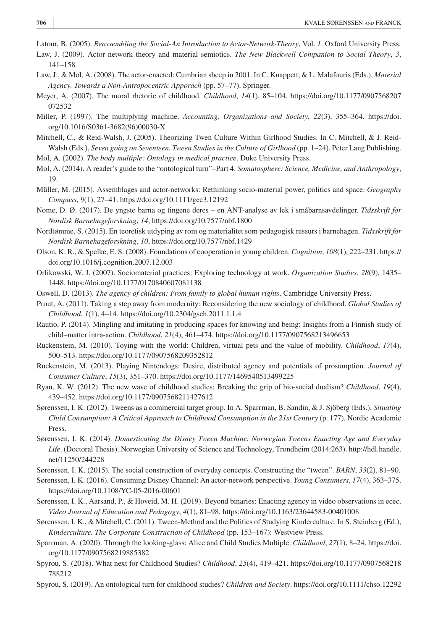- Latour, B. (2005). *Reassembling the Social-An Introduction to Actor-Network-Theory*, Vol. *1*. Oxford University Press.
- Law, J. (2009). Actor network theory and material semiotics. *The New Blackwell Companion to Social Theory*, *3*, 141–158.
- Law, J., & Mol, A. (2008). The actor-enacted: Cumbrian sheep in 2001. In C. Knappett, & L. Malafouris (Eds.), *Material Agency. Towards a Non-Antropocentric Apporach* (pp. 57–77). Springer.
- Meyer, A. (2007). The moral rhetoric of childhood. *Childhood*, *14*(1), 85–104. [https://doi.org/10.1177/0907568207](https://doi.org/10.1177/0907568207072532) [072532](https://doi.org/10.1177/0907568207072532)
- Miller, P. (1997). The multiplying machine. *Accounting, Organizations and Society*, *22*(3), 355–364. [https://doi.](https://doi.org/10.1016/S0361-3682(96)00030-X) [org/10.1016/S0361-3682\(96\)00030-X](https://doi.org/10.1016/S0361-3682(96)00030-X)
- Mitchell, C., & Reid-Walsh, J. (2005). Theorizing Twen Culture Within Girlhood Studies. In C. Mitchell, & J. Reid-Walsh (Eds.), *Seven going on Seventeen. Tween Studies in the Culture of Girlhood* (pp. 1–24). Peter Lang Publishing.
- Mol, A. (2002). *The body multiple: Ontology in medical practice*. Duke University Press.
- Mol, A. (2014). A reader's guide to the "ontological turn"–Part 4. *Somatosphere: Science, Medicine, and Anthropology*, 19.
- Müller, M. (2015). Assemblages and actor-networks: Rethinking socio-material power, politics and space. *Geography Compass*, *9*(1), 27–41. <https://doi.org/10.1111/gec3.12192>
- Nome, D. Ø. (2017). De yngste barna og tingene deres en ANT-analyse av lek i småbarnsavdelinger. *Tidsskrift for Nordisk Barnehageforskning*, *14*,<https://doi.org/10.7577/nbf.1800>
- Nordtømme, S. (2015). En teoretisk utdyping av rom og materialitet som pedagogisk ressurs i barnehagen. *Tidsskrift for Nordisk Barnehageforskning*, *10*,<https://doi.org/10.7577/nbf.1429>
- Olson, K. R., & Spelke, E. S. (2008). Foundations of cooperation in young children. *Cognition*, *108*(1), 222–231. [https://](https://doi.org/10.1016/j.cognition.2007.12.003) [doi.org/10.1016/j.cognition.2007.12.003](https://doi.org/10.1016/j.cognition.2007.12.003)
- Orlikowski, W. J. (2007). Sociomaterial practices: Exploring technology at work. *Organization Studies*, *28*(9), 1435– 1448. <https://doi.org/10.1177/0170840607081138>
- Oswell, D. (2013). *The agency of children: From family to global human rights*. Cambridge University Press.
- Prout, A. (2011). Taking a step away from modernity: Reconsidering the new sociology of childhood. *Global Studies of Childhood*, *1*(1), 4–14.<https://doi.org/10.2304/gsch.2011.1.1.4>
- Rautio, P. (2014). Mingling and imitating in producing spaces for knowing and being: Insights from a Finnish study of child–matter intra-action. *Childhood*, *21*(4), 461–474. <https://doi.org/10.1177/0907568213496653>
- Ruckenstein, M. (2010). Toying with the world: Children, virtual pets and the value of mobility. *Childhood*, *17*(4), 500–513. <https://doi.org/10.1177/0907568209352812>
- Ruckenstein, M. (2013). Playing Nintendogs: Desire, distributed agency and potentials of prosumption. *Journal of Consumer Culture*, *15*(3), 351–370.<https://doi.org/10.1177/1469540513499225>
- Ryan, K. W. (2012). The new wave of childhood studies: Breaking the grip of bio-social dualism? *Childhood*, *19*(4), 439–452. <https://doi.org/10.1177/0907568211427612>
- Sørenssen, I. K. (2012). Tweens as a commercial target group. In A. Sparrman, B. Sandin, & J. Sjöberg (Eds.), *Situating Child Consumption: A Critical Approach to Childhood Consumption in the 21st Century* (p. 177). Nordic Academic Press.
- Sørenssen, I. K. (2014). *Domesticating the Disney Tween Machine. Norwegian Tweens Enacting Age and Everyday Life*. (Doctoral Thesis). Norwegian University of Science and Technology, Trondheim (2014:263). [http://hdl.handle.](http://hdl.handle.net/11250/244228) [net/11250/244228](http://hdl.handle.net/11250/244228)
- Sørenssen, I. K. (2015). The social construction of everyday concepts. Constructing the "tween". *BARN*, *33*(2), 81–90.
- Sørenssen, I. K. (2016). Consuming Disney Channel: An actor-network perspective. *Young Consumers*, *17*(4), 363–375. <https://doi.org/10.1108/YC-05-2016-00601>
- Sørenssen, I. K., Aarsand, P., & Hoveid, M. H. (2019). Beyond binaries: Enacting agency in video observations in ecec. *Video Journal of Education and Pedagogy*, *4*(1), 81–98.<https://doi.org/10.1163/23644583-00401008>
- Sørenssen, I. K., & Mitchell, C. (2011). Tween-Method and the Politics of Studying Kinderculture. In S. Steinberg (Ed.), *Kinderculture. The Corporate Construction of Childhood* (pp. 153–167): Westview Press.
- Sparrman, A. (2020). Through the looking-glass: Alice and Child Studies Multiple. *Childhood*, *27*(1), 8–24. [https://doi.](https://doi.org/10.1177/0907568219885382) [org/10.1177/0907568219885382](https://doi.org/10.1177/0907568219885382)
- Spyrou, S. (2018). What next for Childhood Studies? *Childhood*, *25*(4), 419–421. [https://doi.org/10.1177/0907568218](https://doi.org/10.1177/0907568218788212) [788212](https://doi.org/10.1177/0907568218788212)
- Spyrou, S. (2019). An ontological turn for childhood studies? *Children and Society*.<https://doi.org/10.1111/chso.12292>